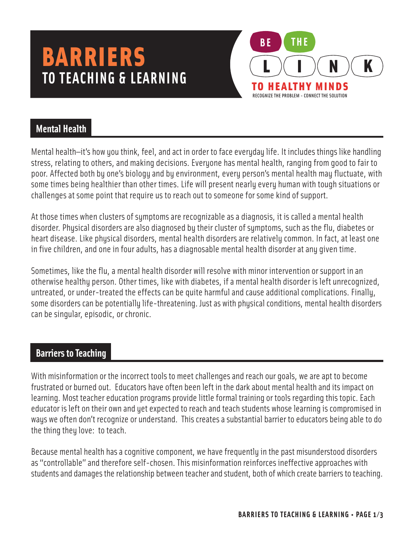# **TO TEACHING & LEARNING** BARRIERS



## **Mental Health**

Mental health—it's how you think, feel, and act in order to face everyday life. It includes things like handling stress, relating to others, and making decisions. Everyone has mental health, ranging from good to fair to poor. Affected both by one's biology and by environment, every person's mental health may fluctuate, with some times being healthier than other times. Life will present nearly every human with tough situations or challenges at some point that require us to reach out to someone for some kind of support.

At those times when clusters of symptoms are recognizable as a diagnosis, it is called a mental health disorder. Physical disorders are also diagnosed by their cluster of symptoms, such as the flu, diabetes or heart disease. Like physical disorders, mental health disorders are relatively common. In fact, at least one in five children, and one in four adults, has a diagnosable mental health disorder at any given time.

Sometimes, like the flu, a mental health disorder will resolve with minor intervention or support in an otherwise healthy person. Other times, like with diabetes, if a mental health disorder is left unrecognized, untreated, or under-treated the effects can be quite harmful and cause additional complications. Finally, some disorders can be potentially life-threatening. Just as with physical conditions, mental health disorders can be singular, episodic, or chronic.

# **Barriers to Teaching**

With misinformation or the incorrect tools to meet challenges and reach our goals, we are apt to become frustrated or burned out. Educators have often been left in the dark about mental health and its impact on learning. Most teacher education programs provide little formal training or tools regarding this topic. Each educator is left on their own and yet expected to reach and teach students whose learning is compromised in ways we often don't recognize or understand. This creates a substantial barrier to educators being able to do the thing they love: to teach.

Because mental health has a cognitive component, we have frequently in the past misunderstood disorders as "controllable" and therefore self-chosen. This misinformation reinforces ineffective approaches with students and damages the relationship between teacher and student, both of which create barriers to teaching.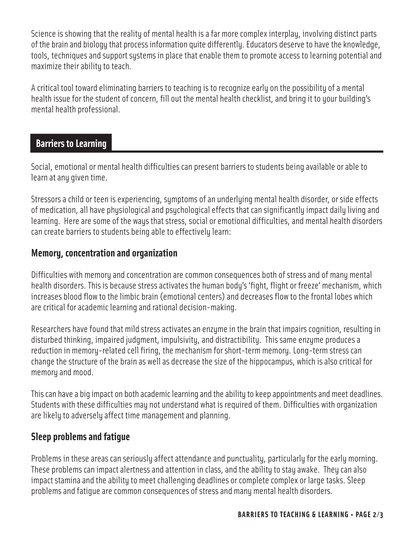Science is showing that the reality of mental health is a far more complex interplay, involving distinct parts of the brain and biology that process information quite differently. Educators deserve to have the knowledge, tools, techniques and support systems in place that enable them to promote access to learning potential and maximize their ability to teach.

A critical tool toward eliminating barriers to teaching is to recognize early on the possibility of a mental health issue for the student of concern, fill out the mental health checklist, and bring it to your building's mental health professional.

#### **Barriers to Learning**

Social, emotional or mental health difficulties can present barriers to students being available or able to learn at any given time.

Stressors a child or teen is experiencing, symptoms of an underlying mental health disorder, or side effects of medication, all have physiological and psychological effects that can significantly impact daily living and learning. Here are some of the ways that stress, social or emotional difficulties, and mental health disorders can create barriers to students being able to effectively learn:

#### **Memory, concentration and organization**

Difficulties with memory and concentration are common consequences both of stress and of many mental health disorders. This is because stress activates the human body's 'fight, flight or freeze' mechanism, which increases blood flow to the limbic brain (emotional centers) and decreases flow to the frontal lobes which are critical for academic learning and rational decision-making.

Researchers have found that mild stress activates an enzyme in the brain that impairs cognition, resulting in disturbed thinking, impaired judgment, impulsivity, and distractibility. This same enzyme produces a reduction in memory-related cell firing, the mechanism for short-term memory. Long-term stress can change the structure of the brain as well as decrease the size of the hippocampus, which is also critical for memory and mood.

This can have a big impact on both academic learning and the ability to keep appointments and meet deadlines. Students with these difficulties may not understand what is required of them. Difficulties with organization are likely to adversely affect time management and planning.

### **Sleep problems and fatigue**

Problems in these areas can seriously affect attendance and punctuality, particularly for the early morning. These problems can impact alertness and attention in class, and the ability to stay awake. They can also impact stamina and the ability to meet challenging deadlines or complete complex or large tasks. Sleep problems and fatigue are common consequences of stress and many mental health disorders.